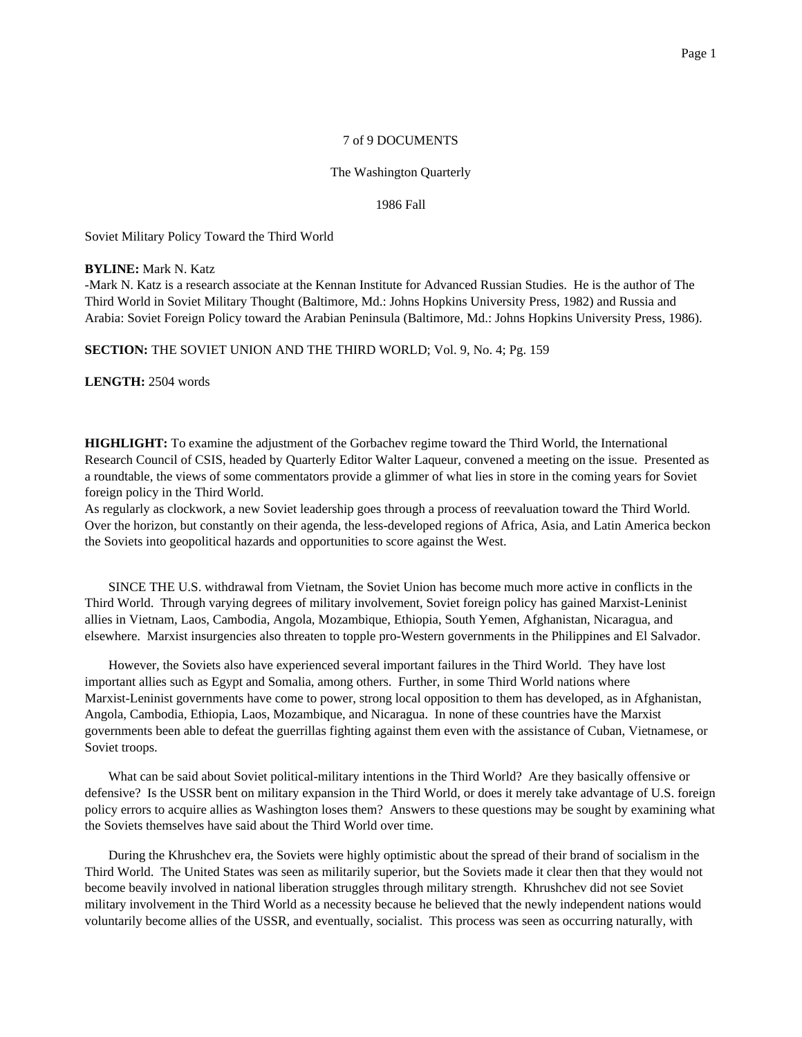## 7 of 9 DOCUMENTS

## The Washington Quarterly

#### 1986 Fall

Soviet Military Policy Toward the Third World

### **BYLINE:** Mark N. Katz

-Mark N. Katz is a research associate at the Kennan Institute for Advanced Russian Studies. He is the author of The Third World in Soviet Military Thought (Baltimore, Md.: Johns Hopkins University Press, 1982) and Russia and Arabia: Soviet Foreign Policy toward the Arabian Peninsula (Baltimore, Md.: Johns Hopkins University Press, 1986).

**SECTION:** THE SOVIET UNION AND THE THIRD WORLD; Vol. 9, No. 4; Pg. 159

**LENGTH:** 2504 words

**HIGHLIGHT:** To examine the adjustment of the Gorbachev regime toward the Third World, the International Research Council of CSIS, headed by Quarterly Editor Walter Laqueur, convened a meeting on the issue. Presented as a roundtable, the views of some commentators provide a glimmer of what lies in store in the coming years for Soviet foreign policy in the Third World.

As regularly as clockwork, a new Soviet leadership goes through a process of reevaluation toward the Third World. Over the horizon, but constantly on their agenda, the less-developed regions of Africa, Asia, and Latin America beckon the Soviets into geopolitical hazards and opportunities to score against the West.

SINCE THE U.S. withdrawal from Vietnam, the Soviet Union has become much more active in conflicts in the Third World. Through varying degrees of military involvement, Soviet foreign policy has gained Marxist-Leninist allies in Vietnam, Laos, Cambodia, Angola, Mozambique, Ethiopia, South Yemen, Afghanistan, Nicaragua, and elsewhere. Marxist insurgencies also threaten to topple pro-Western governments in the Philippines and El Salvador.

However, the Soviets also have experienced several important failures in the Third World. They have lost important allies such as Egypt and Somalia, among others. Further, in some Third World nations where Marxist-Leninist governments have come to power, strong local opposition to them has developed, as in Afghanistan, Angola, Cambodia, Ethiopia, Laos, Mozambique, and Nicaragua. In none of these countries have the Marxist governments been able to defeat the guerrillas fighting against them even with the assistance of Cuban, Vietnamese, or Soviet troops.

What can be said about Soviet political-military intentions in the Third World? Are they basically offensive or defensive? Is the USSR bent on military expansion in the Third World, or does it merely take advantage of U.S. foreign policy errors to acquire allies as Washington loses them? Answers to these questions may be sought by examining what the Soviets themselves have said about the Third World over time.

During the Khrushchev era, the Soviets were highly optimistic about the spread of their brand of socialism in the Third World. The United States was seen as militarily superior, but the Soviets made it clear then that they would not become beavily involved in national liberation struggles through military strength. Khrushchev did not see Soviet military involvement in the Third World as a necessity because he believed that the newly independent nations would voluntarily become allies of the USSR, and eventually, socialist. This process was seen as occurring naturally, with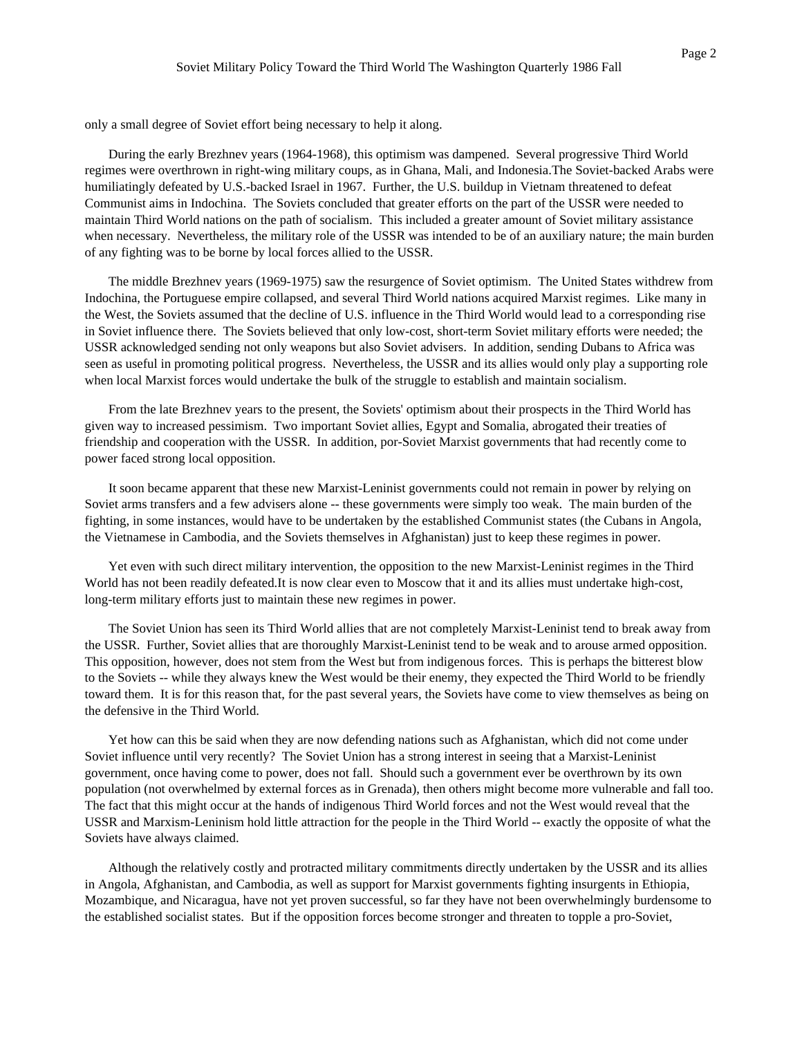only a small degree of Soviet effort being necessary to help it along.

During the early Brezhnev years (1964-1968), this optimism was dampened. Several progressive Third World regimes were overthrown in right-wing military coups, as in Ghana, Mali, and Indonesia.The Soviet-backed Arabs were humiliatingly defeated by U.S.-backed Israel in 1967. Further, the U.S. buildup in Vietnam threatened to defeat Communist aims in Indochina. The Soviets concluded that greater efforts on the part of the USSR were needed to maintain Third World nations on the path of socialism. This included a greater amount of Soviet military assistance when necessary. Nevertheless, the military role of the USSR was intended to be of an auxiliary nature; the main burden of any fighting was to be borne by local forces allied to the USSR.

The middle Brezhnev years (1969-1975) saw the resurgence of Soviet optimism. The United States withdrew from Indochina, the Portuguese empire collapsed, and several Third World nations acquired Marxist regimes. Like many in the West, the Soviets assumed that the decline of U.S. influence in the Third World would lead to a corresponding rise in Soviet influence there. The Soviets believed that only low-cost, short-term Soviet military efforts were needed; the USSR acknowledged sending not only weapons but also Soviet advisers. In addition, sending Dubans to Africa was seen as useful in promoting political progress. Nevertheless, the USSR and its allies would only play a supporting role when local Marxist forces would undertake the bulk of the struggle to establish and maintain socialism.

From the late Brezhnev years to the present, the Soviets' optimism about their prospects in the Third World has given way to increased pessimism. Two important Soviet allies, Egypt and Somalia, abrogated their treaties of friendship and cooperation with the USSR. In addition, por-Soviet Marxist governments that had recently come to power faced strong local opposition.

It soon became apparent that these new Marxist-Leninist governments could not remain in power by relying on Soviet arms transfers and a few advisers alone -- these governments were simply too weak. The main burden of the fighting, in some instances, would have to be undertaken by the established Communist states (the Cubans in Angola, the Vietnamese in Cambodia, and the Soviets themselves in Afghanistan) just to keep these regimes in power.

Yet even with such direct military intervention, the opposition to the new Marxist-Leninist regimes in the Third World has not been readily defeated.It is now clear even to Moscow that it and its allies must undertake high-cost, long-term military efforts just to maintain these new regimes in power.

The Soviet Union has seen its Third World allies that are not completely Marxist-Leninist tend to break away from the USSR. Further, Soviet allies that are thoroughly Marxist-Leninist tend to be weak and to arouse armed opposition. This opposition, however, does not stem from the West but from indigenous forces. This is perhaps the bitterest blow to the Soviets -- while they always knew the West would be their enemy, they expected the Third World to be friendly toward them. It is for this reason that, for the past several years, the Soviets have come to view themselves as being on the defensive in the Third World.

Yet how can this be said when they are now defending nations such as Afghanistan, which did not come under Soviet influence until very recently? The Soviet Union has a strong interest in seeing that a Marxist-Leninist government, once having come to power, does not fall. Should such a government ever be overthrown by its own population (not overwhelmed by external forces as in Grenada), then others might become more vulnerable and fall too. The fact that this might occur at the hands of indigenous Third World forces and not the West would reveal that the USSR and Marxism-Leninism hold little attraction for the people in the Third World -- exactly the opposite of what the Soviets have always claimed.

Although the relatively costly and protracted military commitments directly undertaken by the USSR and its allies in Angola, Afghanistan, and Cambodia, as well as support for Marxist governments fighting insurgents in Ethiopia, Mozambique, and Nicaragua, have not yet proven successful, so far they have not been overwhelmingly burdensome to the established socialist states. But if the opposition forces become stronger and threaten to topple a pro-Soviet,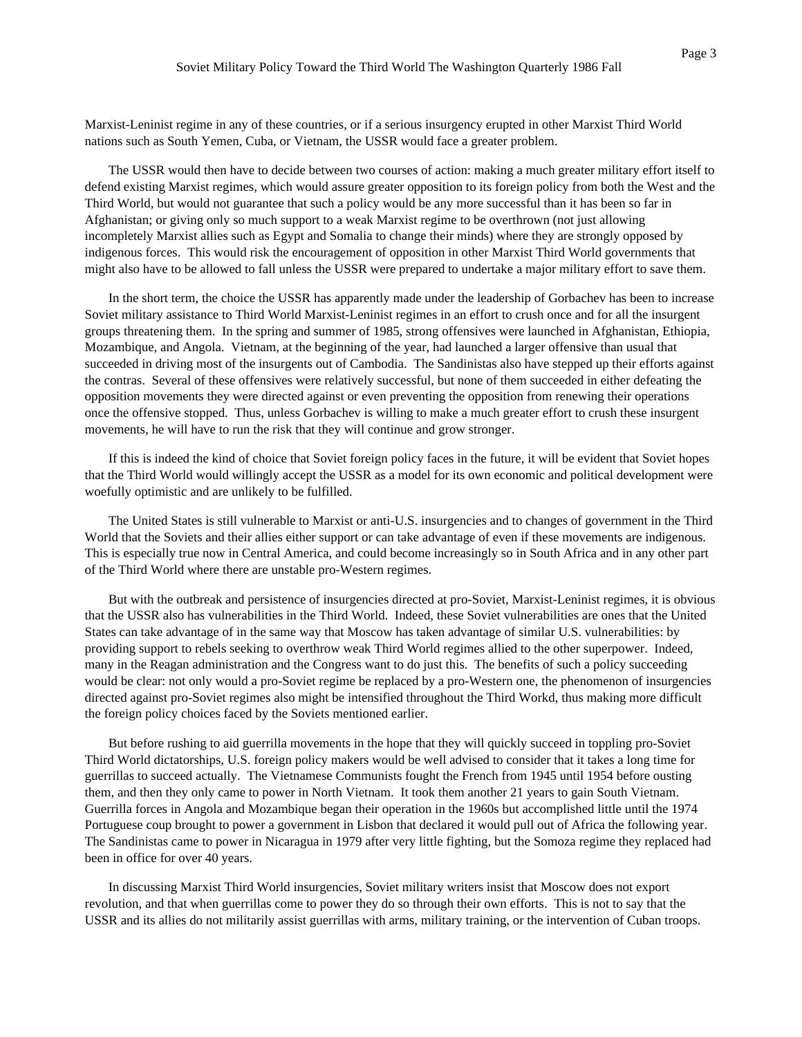Marxist-Leninist regime in any of these countries, or if a serious insurgency erupted in other Marxist Third World nations such as South Yemen, Cuba, or Vietnam, the USSR would face a greater problem.

The USSR would then have to decide between two courses of action: making a much greater military effort itself to defend existing Marxist regimes, which would assure greater opposition to its foreign policy from both the West and the Third World, but would not guarantee that such a policy would be any more successful than it has been so far in Afghanistan; or giving only so much support to a weak Marxist regime to be overthrown (not just allowing incompletely Marxist allies such as Egypt and Somalia to change their minds) where they are strongly opposed by indigenous forces. This would risk the encouragement of opposition in other Marxist Third World governments that might also have to be allowed to fall unless the USSR were prepared to undertake a major military effort to save them.

In the short term, the choice the USSR has apparently made under the leadership of Gorbachev has been to increase Soviet military assistance to Third World Marxist-Leninist regimes in an effort to crush once and for all the insurgent groups threatening them. In the spring and summer of 1985, strong offensives were launched in Afghanistan, Ethiopia, Mozambique, and Angola. Vietnam, at the beginning of the year, had launched a larger offensive than usual that succeeded in driving most of the insurgents out of Cambodia. The Sandinistas also have stepped up their efforts against the contras. Several of these offensives were relatively successful, but none of them succeeded in either defeating the opposition movements they were directed against or even preventing the opposition from renewing their operations once the offensive stopped. Thus, unless Gorbachev is willing to make a much greater effort to crush these insurgent movements, he will have to run the risk that they will continue and grow stronger.

If this is indeed the kind of choice that Soviet foreign policy faces in the future, it will be evident that Soviet hopes that the Third World would willingly accept the USSR as a model for its own economic and political development were woefully optimistic and are unlikely to be fulfilled.

The United States is still vulnerable to Marxist or anti-U.S. insurgencies and to changes of government in the Third World that the Soviets and their allies either support or can take advantage of even if these movements are indigenous. This is especially true now in Central America, and could become increasingly so in South Africa and in any other part of the Third World where there are unstable pro-Western regimes.

But with the outbreak and persistence of insurgencies directed at pro-Soviet, Marxist-Leninist regimes, it is obvious that the USSR also has vulnerabilities in the Third World. Indeed, these Soviet vulnerabilities are ones that the United States can take advantage of in the same way that Moscow has taken advantage of similar U.S. vulnerabilities: by providing support to rebels seeking to overthrow weak Third World regimes allied to the other superpower. Indeed, many in the Reagan administration and the Congress want to do just this. The benefits of such a policy succeeding would be clear: not only would a pro-Soviet regime be replaced by a pro-Western one, the phenomenon of insurgencies directed against pro-Soviet regimes also might be intensified throughout the Third Workd, thus making more difficult the foreign policy choices faced by the Soviets mentioned earlier.

But before rushing to aid guerrilla movements in the hope that they will quickly succeed in toppling pro-Soviet Third World dictatorships, U.S. foreign policy makers would be well advised to consider that it takes a long time for guerrillas to succeed actually. The Vietnamese Communists fought the French from 1945 until 1954 before ousting them, and then they only came to power in North Vietnam. It took them another 21 years to gain South Vietnam. Guerrilla forces in Angola and Mozambique began their operation in the 1960s but accomplished little until the 1974 Portuguese coup brought to power a government in Lisbon that declared it would pull out of Africa the following year. The Sandinistas came to power in Nicaragua in 1979 after very little fighting, but the Somoza regime they replaced had been in office for over 40 years.

In discussing Marxist Third World insurgencies, Soviet military writers insist that Moscow does not export revolution, and that when guerrillas come to power they do so through their own efforts. This is not to say that the USSR and its allies do not militarily assist guerrillas with arms, military training, or the intervention of Cuban troops.